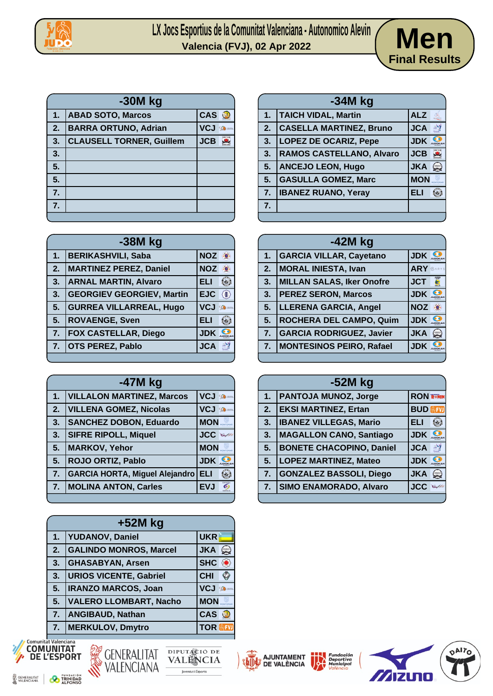



|    | $-30M$ kg                       |            |               |  |
|----|---------------------------------|------------|---------------|--|
| 1. | <b>ABAD SOTO, Marcos</b>        | <b>CAS</b> | <b>Red</b>    |  |
| 2. | <b>BARRA ORTUNO, Adrian</b>     | <b>VCJ</b> | <b>De</b> men |  |
| 3. | <b>CLAUSELL TORNER, Guillem</b> | <b>JCB</b> |               |  |
| 3. |                                 |            |               |  |
| 5. |                                 |            |               |  |
| 5. |                                 |            |               |  |
| 7. |                                 |            |               |  |
| 7. |                                 |            |               |  |
|    |                                 |            |               |  |

|    | $-38M$ kg                        |            |                          |
|----|----------------------------------|------------|--------------------------|
| 1. | <b>BERIKASHVILI, Saba</b>        | <b>NOZ</b> | $\left( \bullet \right)$ |
| 2. | <b>MARTINEZ PEREZ, Daniel</b>    | <b>NOZ</b> |                          |
| 3. | <b>ARNAL MARTIN, Alvaro</b>      | ELI        |                          |
| 3. | <b>GEORGIEV GEORGIEV, Martin</b> | <b>EJC</b> | $\langle \parallel$      |
| 5. | <b>GURREA VILLARREAL, Hugo</b>   | <b>VCJ</b> | <b>CENT</b> mann         |
| 5. | <b>ROVAENGE, Sven</b>            | <b>ELI</b> |                          |
| 7. | <b>FOX CASTELLAR, Diego</b>      | <b>JDK</b> |                          |
| 7. | <b>OTS PEREZ, Pablo</b>          | <b>JCA</b> | 圖                        |
|    |                                  |            |                          |

|    | $-47M$ kg                             |            |               |
|----|---------------------------------------|------------|---------------|
| 1. | <b>VILLALON MARTINEZ, Marcos</b>      | <b>VCJ</b> | <b>Comma</b>  |
| 2. | <b>VILLENA GOMEZ, Nicolas</b>         | <b>VCJ</b> | <b>De mon</b> |
| 3. | <b>SANCHEZ DOBON, Eduardo</b>         | <b>MON</b> |               |
| 3. | <b>SIFRE RIPOLL, Miquel</b>           | <b>JCC</b> |               |
| 5. | <b>MARKOV, Yehor</b>                  | <b>MON</b> |               |
| 5. | <b>ROJO ORTIZ, Pablo</b>              | <b>JDK</b> |               |
| 7. | <b>GARCIA HORTA, Miguel Alejandro</b> | <b>ELI</b> |               |
| 7. | <b>MOLINA ANTON, Carles</b>           | <b>EVJ</b> |               |
|    |                                       |            |               |

| $+52M$ kg |                               |                                          |
|-----------|-------------------------------|------------------------------------------|
|           | 1. YUDANOV, Daniel            | <b>UKR</b>                               |
| 2.        | <b>GALINDO MONROS, Marcel</b> | <b>JKA</b><br>$\left(\frac{1}{2}\right)$ |
| 3.        | <b>GHASABYAN, Arsen</b>       | <b>SHC</b>                               |
| 3.        | <b>URIOS VICENTE, Gabriel</b> | <b>CHI</b>                               |
| 5.        | <b>IRANZO MARCOS, Joan</b>    | <b>VCJ</b><br><b>Comma</b>               |
| 5.        | <b>VALERO LLOMBART, Nacho</b> | <b>MON</b>                               |
| 7.        | <b>ANGIBAUD, Nathan</b>       | <b>CAS</b>                               |
|           | 7.   MERKULOV, Dmytro         | <b>TOR</b>                               |









|    | $-42M$ kg                        |                               |  |
|----|----------------------------------|-------------------------------|--|
| 1. | <b>GARCIA VILLAR, Cayetano</b>   | <b>JDK</b>                    |  |
| 2. | <b>MORAL INIESTA, Ivan</b>       | ARY SARYS                     |  |
| 3. | <b>MILLAN SALAS, Iker Onofre</b> | <b>Billip</b><br><b>JCT</b>   |  |
| 3. | <b>PEREZ SERON, Marcos</b>       | JDK .                         |  |
| 5. | <b>LLERENA GARCIA, Angel</b>     | <b>NOZ</b><br>$\cdot \bullet$ |  |
| 5. | ROCHERA DEL CAMPO, Quim          | <b>JDK</b>                    |  |
| 7. | <b>GARCIA RODRIGUEZ, Javier</b>  | <b>JKA</b><br>يئ              |  |
| 7. | <b>MONTESINOS PEIRO, Rafael</b>  | <b>JDK</b>                    |  |
|    |                                  |                               |  |

| -52M kg |                                 |                            |
|---------|---------------------------------|----------------------------|
| 1.      | <b>PANTOJA MUNOZ, Jorge</b>     | <b>RON RONIN</b>           |
| 2.      | <b>EKSI MARTINEZ, Ertan</b>     | <b>BUD</b> <sup></sup>     |
| 3.      | <b>IBANEZ VILLEGAS, Mario</b>   | ELI                        |
| 3.      | <b>MAGALLON CANO, Santiago</b>  | <b>JDK</b>                 |
| 5.      | <b>BONETE CHACOPINO, Daniel</b> | <b>JCA</b><br>B            |
| 5.      | <b>LOPEZ MARTINEZ, Mateo</b>    | <b>JDK</b>                 |
| 7.      | <b>GONZALEZ BASSOLI, Diego</b>  | <b>JKA</b><br>$\mathbf{S}$ |
| 7.      | <b>SIMO ENAMORADO, Alvaro</b>   | <b>JCC</b>                 |
|         |                                 |                            |

| TAMENT<br><b>LÉNCIA</b> | <b>Fundación</b><br>Deportiva<br><b>Municipal</b><br>València |  |
|-------------------------|---------------------------------------------------------------|--|
|                         |                                                               |  |